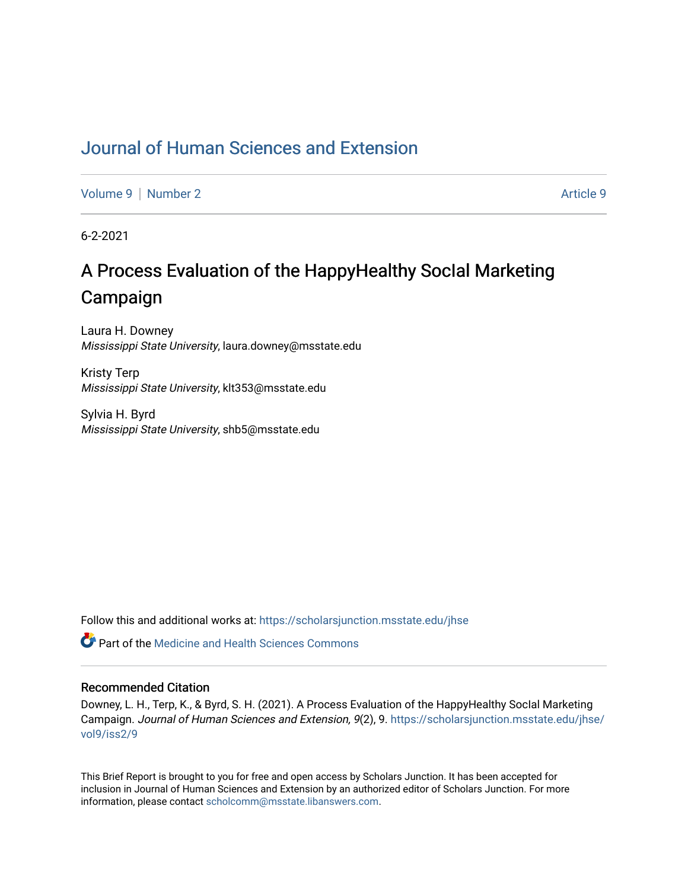## [Journal of Human Sciences and Extension](https://scholarsjunction.msstate.edu/jhse)

[Volume 9](https://scholarsjunction.msstate.edu/jhse/vol9) | [Number 2](https://scholarsjunction.msstate.edu/jhse/vol9/iss2) Article 9

6-2-2021

# A Process Evaluation of the HappyHealthy SocIal Marketing Campaign

Laura H. Downey Mississippi State University, laura.downey@msstate.edu

Kristy Terp Mississippi State University, klt353@msstate.edu

Sylvia H. Byrd Mississippi State University, shb5@msstate.edu

Follow this and additional works at: [https://scholarsjunction.msstate.edu/jhse](https://scholarsjunction.msstate.edu/jhse?utm_source=scholarsjunction.msstate.edu%2Fjhse%2Fvol9%2Fiss2%2F9&utm_medium=PDF&utm_campaign=PDFCoverPages)

**C** Part of the Medicine and Health Sciences Commons

#### Recommended Citation

Downey, L. H., Terp, K., & Byrd, S. H. (2021). A Process Evaluation of the HappyHealthy SocIal Marketing Campaign. Journal of Human Sciences and Extension, 9(2), 9. [https://scholarsjunction.msstate.edu/jhse/](https://scholarsjunction.msstate.edu/jhse/vol9/iss2/9?utm_source=scholarsjunction.msstate.edu%2Fjhse%2Fvol9%2Fiss2%2F9&utm_medium=PDF&utm_campaign=PDFCoverPages) [vol9/iss2/9](https://scholarsjunction.msstate.edu/jhse/vol9/iss2/9?utm_source=scholarsjunction.msstate.edu%2Fjhse%2Fvol9%2Fiss2%2F9&utm_medium=PDF&utm_campaign=PDFCoverPages) 

This Brief Report is brought to you for free and open access by Scholars Junction. It has been accepted for inclusion in Journal of Human Sciences and Extension by an authorized editor of Scholars Junction. For more information, please contact [scholcomm@msstate.libanswers.com](mailto:scholcomm@msstate.libanswers.com).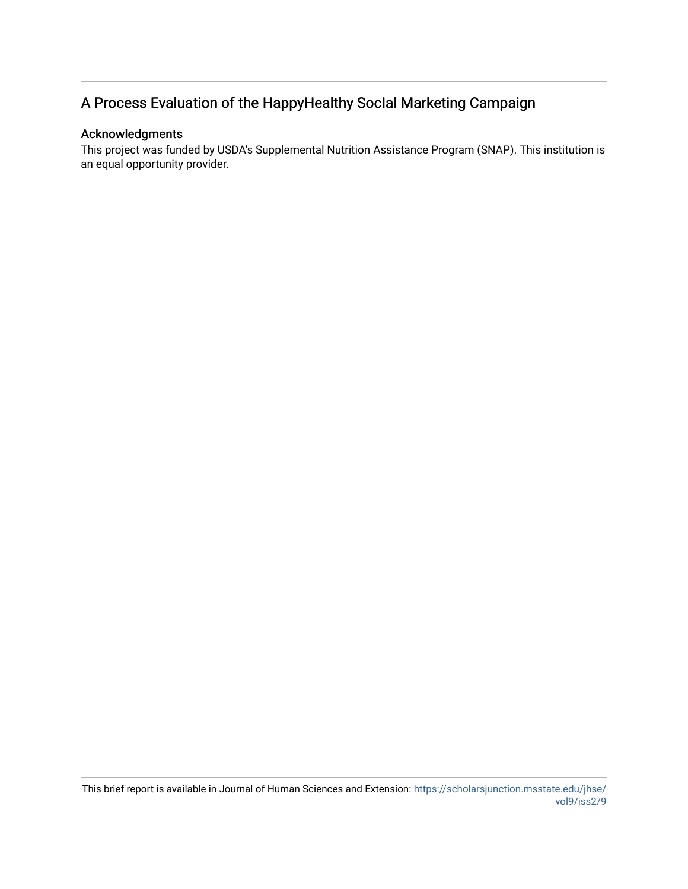## A Process Evaluation of the HappyHealthy SocIal Marketing Campaign

#### Acknowledgments

This project was funded by USDA's Supplemental Nutrition Assistance Program (SNAP). This institution is an equal opportunity provider.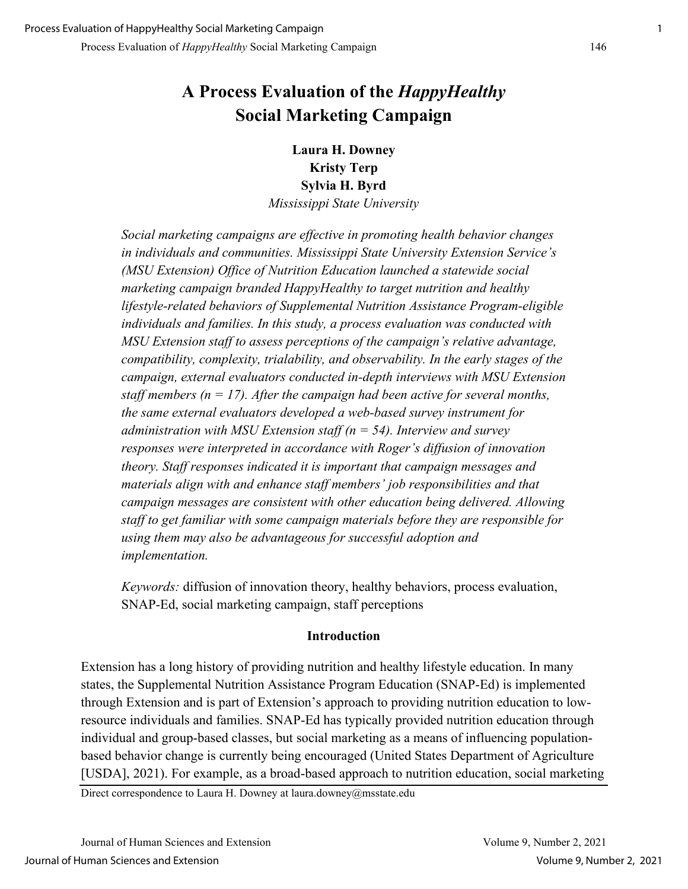## **A Process Evaluation of the** *HappyHealthy* **Social Marketing Campaign**

**Laura H. Downey Kristy Terp Sylvia H. Byrd** 

*Mississippi State University*

*Social marketing campaigns are effective in promoting health behavior changes in individuals and communities. Mississippi State University Extension Service's (MSU Extension) Office of Nutrition Education launched a statewide social marketing campaign branded HappyHealthy to target nutrition and healthy lifestyle-related behaviors of Supplemental Nutrition Assistance Program-eligible individuals and families. In this study, a process evaluation was conducted with MSU Extension staff to assess perceptions of the campaign's relative advantage, compatibility, complexity, trialability, and observability. In the early stages of the campaign, external evaluators conducted in-depth interviews with MSU Extension staff members (n = 17). After the campaign had been active for several months, the same external evaluators developed a web-based survey instrument for administration with MSU Extension staff (n = 54). Interview and survey responses were interpreted in accordance with Roger's diffusion of innovation theory. Staff responses indicated it is important that campaign messages and materials align with and enhance staff members' job responsibilities and that campaign messages are consistent with other education being delivered. Allowing staff to get familiar with some campaign materials before they are responsible for using them may also be advantageous for successful adoption and implementation.* 

*Keywords:* diffusion of innovation theory, healthy behaviors, process evaluation, SNAP-Ed, social marketing campaign, staff perceptions

#### **Introduction**

Extension has a long history of providing nutrition and healthy lifestyle education. In many states, the Supplemental Nutrition Assistance Program Education (SNAP-Ed) is implemented through Extension and is part of Extension's approach to providing nutrition education to lowresource individuals and families. SNAP-Ed has typically provided nutrition education through individual and group-based classes, but social marketing as a means of influencing populationbased behavior change is currently being encouraged (United States Department of Agriculture [USDA], 2021). For example, as a broad-based approach to nutrition education, social marketing

Direct correspondence to Laura H. Downey at laura.downey@msstate.edu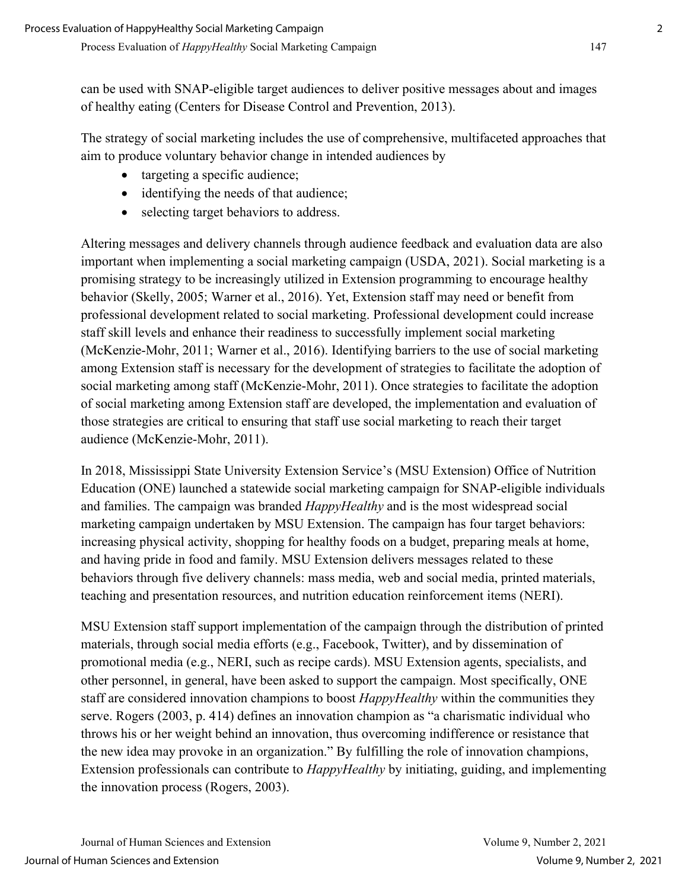can be used with SNAP-eligible target audiences to deliver positive messages about and images of healthy eating (Centers for Disease Control and Prevention, 2013).

The strategy of social marketing includes the use of comprehensive, multifaceted approaches that aim to produce voluntary behavior change in intended audiences by

- targeting a specific audience;
- identifying the needs of that audience;
- selecting target behaviors to address.

Altering messages and delivery channels through audience feedback and evaluation data are also important when implementing a social marketing campaign (USDA, 2021). Social marketing is a promising strategy to be increasingly utilized in Extension programming to encourage healthy behavior (Skelly, 2005; Warner et al., 2016). Yet, Extension staff may need or benefit from professional development related to social marketing. Professional development could increase staff skill levels and enhance their readiness to successfully implement social marketing (McKenzie-Mohr, 2011; Warner et al., 2016). Identifying barriers to the use of social marketing among Extension staff is necessary for the development of strategies to facilitate the adoption of social marketing among staff (McKenzie-Mohr, 2011). Once strategies to facilitate the adoption of social marketing among Extension staff are developed, the implementation and evaluation of those strategies are critical to ensuring that staff use social marketing to reach their target audience (McKenzie-Mohr, 2011).

In 2018, Mississippi State University Extension Service's (MSU Extension) Office of Nutrition Education (ONE) launched a statewide social marketing campaign for SNAP-eligible individuals and families. The campaign was branded *HappyHealthy* and is the most widespread social marketing campaign undertaken by MSU Extension. The campaign has four target behaviors: increasing physical activity, shopping for healthy foods on a budget, preparing meals at home, and having pride in food and family. MSU Extension delivers messages related to these behaviors through five delivery channels: mass media, web and social media, printed materials, teaching and presentation resources, and nutrition education reinforcement items (NERI).

MSU Extension staff support implementation of the campaign through the distribution of printed materials, through social media efforts (e.g., Facebook, Twitter), and by dissemination of promotional media (e.g., NERI, such as recipe cards). MSU Extension agents, specialists, and other personnel, in general, have been asked to support the campaign. Most specifically, ONE staff are considered innovation champions to boost *HappyHealthy* within the communities they serve. Rogers (2003, p. 414) defines an innovation champion as "a charismatic individual who throws his or her weight behind an innovation, thus overcoming indifference or resistance that the new idea may provoke in an organization." By fulfilling the role of innovation champions, Extension professionals can contribute to *HappyHealthy* by initiating, guiding, and implementing the innovation process (Rogers, 2003).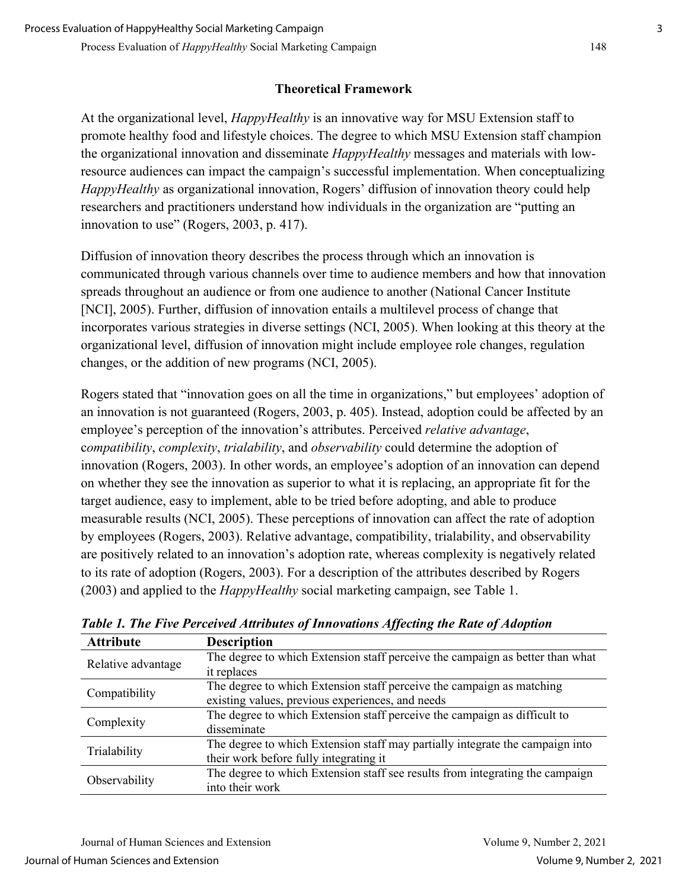### **Theoretical Framework**

At the organizational level, *HappyHealthy* is an innovative way for MSU Extension staff to promote healthy food and lifestyle choices. The degree to which MSU Extension staff champion the organizational innovation and disseminate *HappyHealthy* messages and materials with lowresource audiences can impact the campaign's successful implementation. When conceptualizing *HappyHealthy* as organizational innovation, Rogers' diffusion of innovation theory could help researchers and practitioners understand how individuals in the organization are "putting an innovation to use" (Rogers, 2003, p. 417).

Diffusion of innovation theory describes the process through which an innovation is communicated through various channels over time to audience members and how that innovation spreads throughout an audience or from one audience to another (National Cancer Institute [NCI], 2005). Further, diffusion of innovation entails a multilevel process of change that incorporates various strategies in diverse settings (NCI, 2005). When looking at this theory at the organizational level, diffusion of innovation might include employee role changes, regulation changes, or the addition of new programs (NCI, 2005).

Rogers stated that "innovation goes on all the time in organizations," but employees' adoption of an innovation is not guaranteed (Rogers, 2003, p. 405). Instead, adoption could be affected by an employee's perception of the innovation's attributes. Perceived *relative advantage*, c*ompatibility*, *complexity*, *trialability*, and *observability* could determine the adoption of innovation (Rogers, 2003). In other words, an employee's adoption of an innovation can depend on whether they see the innovation as superior to what it is replacing, an appropriate fit for the target audience, easy to implement, able to be tried before adopting, and able to produce measurable results (NCI, 2005). These perceptions of innovation can affect the rate of adoption by employees (Rogers, 2003). Relative advantage, compatibility, trialability, and observability are positively related to an innovation's adoption rate, whereas complexity is negatively related to its rate of adoption (Rogers, 2003). For a description of the attributes described by Rogers (2003) and applied to the *HappyHealthy* social marketing campaign, see Table 1.

| <b>Attribute</b>   | <b>Description</b>                                                            |
|--------------------|-------------------------------------------------------------------------------|
| Relative advantage | The degree to which Extension staff perceive the campaign as better than what |
|                    | it replaces                                                                   |
| Compatibility      | The degree to which Extension staff perceive the campaign as matching         |
|                    | existing values, previous experiences, and needs                              |
| Complexity         | The degree to which Extension staff perceive the campaign as difficult to     |
|                    | disseminate                                                                   |
| Trialability       | The degree to which Extension staff may partially integrate the campaign into |
|                    | their work before fully integrating it                                        |
| Observability      | The degree to which Extension staff see results from integrating the campaign |
|                    | into their work                                                               |

*Table 1. The Five Perceived Attributes of Innovations Affecting the Rate of Adoption*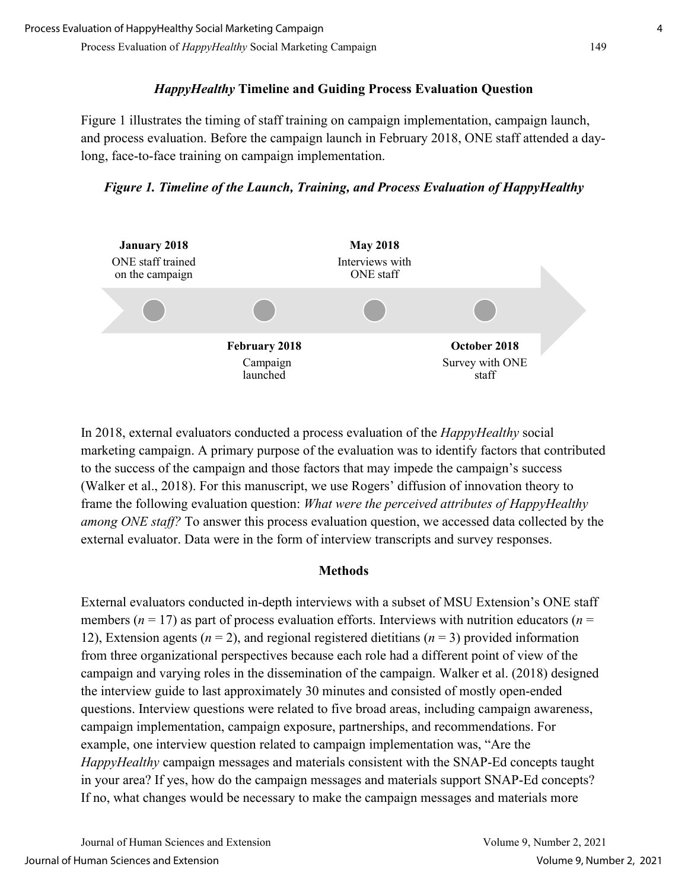#### Process Evaluation of *HappyHealthy* Social Marketing Campaign 149

## *HappyHealthy* **Timeline and Guiding Process Evaluation Question**

Figure 1 illustrates the timing of staff training on campaign implementation, campaign launch, and process evaluation. Before the campaign launch in February 2018, ONE staff attended a daylong, face-to-face training on campaign implementation.

*Figure 1. Timeline of the Launch, Training, and Process Evaluation of HappyHealthy* 



In 2018, external evaluators conducted a process evaluation of the *HappyHealthy* social marketing campaign. A primary purpose of the evaluation was to identify factors that contributed to the success of the campaign and those factors that may impede the campaign's success (Walker et al., 2018). For this manuscript, we use Rogers' diffusion of innovation theory to frame the following evaluation question: *What were the perceived attributes of HappyHealthy among ONE staff?* To answer this process evaluation question, we accessed data collected by the external evaluator. Data were in the form of interview transcripts and survey responses.

#### **Methods**

External evaluators conducted in-depth interviews with a subset of MSU Extension's ONE staff members ( $n = 17$ ) as part of process evaluation efforts. Interviews with nutrition educators ( $n =$ 12), Extension agents  $(n = 2)$ , and regional registered dietitians  $(n = 3)$  provided information from three organizational perspectives because each role had a different point of view of the campaign and varying roles in the dissemination of the campaign. Walker et al. (2018) designed the interview guide to last approximately 30 minutes and consisted of mostly open-ended questions. Interview questions were related to five broad areas, including campaign awareness, campaign implementation, campaign exposure, partnerships, and recommendations. For example, one interview question related to campaign implementation was, "Are the *HappyHealthy* campaign messages and materials consistent with the SNAP-Ed concepts taught in your area? If yes, how do the campaign messages and materials support SNAP-Ed concepts? If no, what changes would be necessary to make the campaign messages and materials more

Journal of Human Sciences and Extension Volume 9, Number 2, 2021 Journal of Human Sciences and Extension Volume 9, Number 2, 2021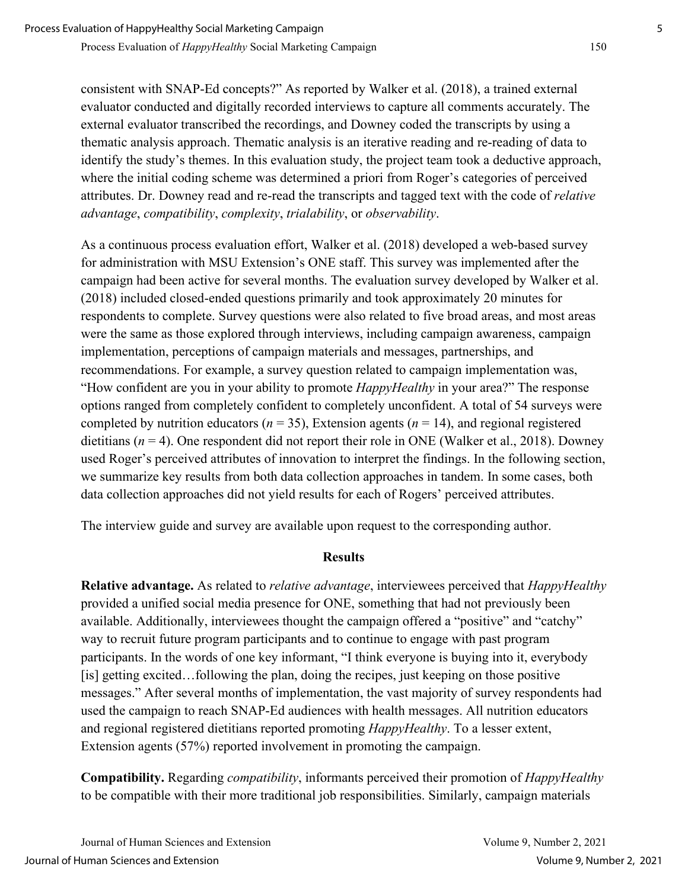consistent with SNAP-Ed concepts?" As reported by Walker et al. (2018), a trained external evaluator conducted and digitally recorded interviews to capture all comments accurately. The external evaluator transcribed the recordings, and Downey coded the transcripts by using a thematic analysis approach. Thematic analysis is an iterative reading and re-reading of data to identify the study's themes. In this evaluation study, the project team took a deductive approach, where the initial coding scheme was determined a priori from Roger's categories of perceived attributes. Dr. Downey read and re-read the transcripts and tagged text with the code of *relative advantage*, *compatibility*, *complexity*, *trialability*, or *observability*.

As a continuous process evaluation effort, Walker et al. (2018) developed a web-based survey for administration with MSU Extension's ONE staff. This survey was implemented after the campaign had been active for several months. The evaluation survey developed by Walker et al. (2018) included closed-ended questions primarily and took approximately 20 minutes for respondents to complete. Survey questions were also related to five broad areas, and most areas were the same as those explored through interviews, including campaign awareness, campaign implementation, perceptions of campaign materials and messages, partnerships, and recommendations. For example, a survey question related to campaign implementation was, "How confident are you in your ability to promote *HappyHealthy* in your area?" The response options ranged from completely confident to completely unconfident. A total of 54 surveys were completed by nutrition educators ( $n = 35$ ), Extension agents ( $n = 14$ ), and regional registered dietitians  $(n = 4)$ . One respondent did not report their role in ONE (Walker et al., 2018). Downey used Roger's perceived attributes of innovation to interpret the findings. In the following section, we summarize key results from both data collection approaches in tandem. In some cases, both data collection approaches did not yield results for each of Rogers' perceived attributes.

The interview guide and survey are available upon request to the corresponding author.

#### **Results**

**Relative advantage.** As related to *relative advantage*, interviewees perceived that *HappyHealthy* provided a unified social media presence for ONE, something that had not previously been available. Additionally, interviewees thought the campaign offered a "positive" and "catchy" way to recruit future program participants and to continue to engage with past program participants. In the words of one key informant, "I think everyone is buying into it, everybody [is] getting excited…following the plan, doing the recipes, just keeping on those positive messages." After several months of implementation, the vast majority of survey respondents had used the campaign to reach SNAP-Ed audiences with health messages. All nutrition educators and regional registered dietitians reported promoting *HappyHealthy*. To a lesser extent, Extension agents (57%) reported involvement in promoting the campaign.

**Compatibility.** Regarding *compatibility*, informants perceived their promotion of *HappyHealthy* to be compatible with their more traditional job responsibilities. Similarly, campaign materials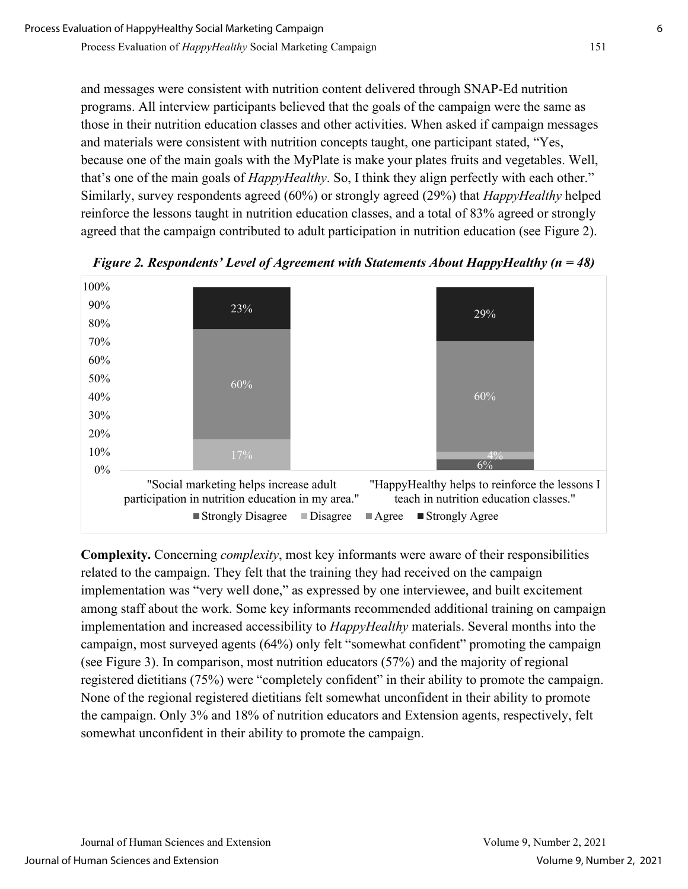Process Evaluation of *HappyHealthy* Social Marketing Campaign 151

and messages were consistent with nutrition content delivered through SNAP-Ed nutrition programs. All interview participants believed that the goals of the campaign were the same as those in their nutrition education classes and other activities. When asked if campaign messages and materials were consistent with nutrition concepts taught, one participant stated, "Yes, because one of the main goals with the MyPlate is make your plates fruits and vegetables. Well, that's one of the main goals of *HappyHealthy*. So, I think they align perfectly with each other." Similarly, survey respondents agreed (60%) or strongly agreed (29%) that *HappyHealthy* helped reinforce the lessons taught in nutrition education classes, and a total of 83% agreed or strongly agreed that the campaign contributed to adult participation in nutrition education (see Figure 2).



*Figure 2. Respondents' Level of Agreement with Statements About HappyHealthy (n = 48)* 

**Complexity.** Concerning *complexity*, most key informants were aware of their responsibilities related to the campaign. They felt that the training they had received on the campaign implementation was "very well done," as expressed by one interviewee, and built excitement among staff about the work. Some key informants recommended additional training on campaign implementation and increased accessibility to *HappyHealthy* materials. Several months into the campaign, most surveyed agents (64%) only felt "somewhat confident" promoting the campaign (see Figure 3). In comparison, most nutrition educators (57%) and the majority of regional registered dietitians (75%) were "completely confident" in their ability to promote the campaign. None of the regional registered dietitians felt somewhat unconfident in their ability to promote the campaign. Only 3% and 18% of nutrition educators and Extension agents, respectively, felt somewhat unconfident in their ability to promote the campaign.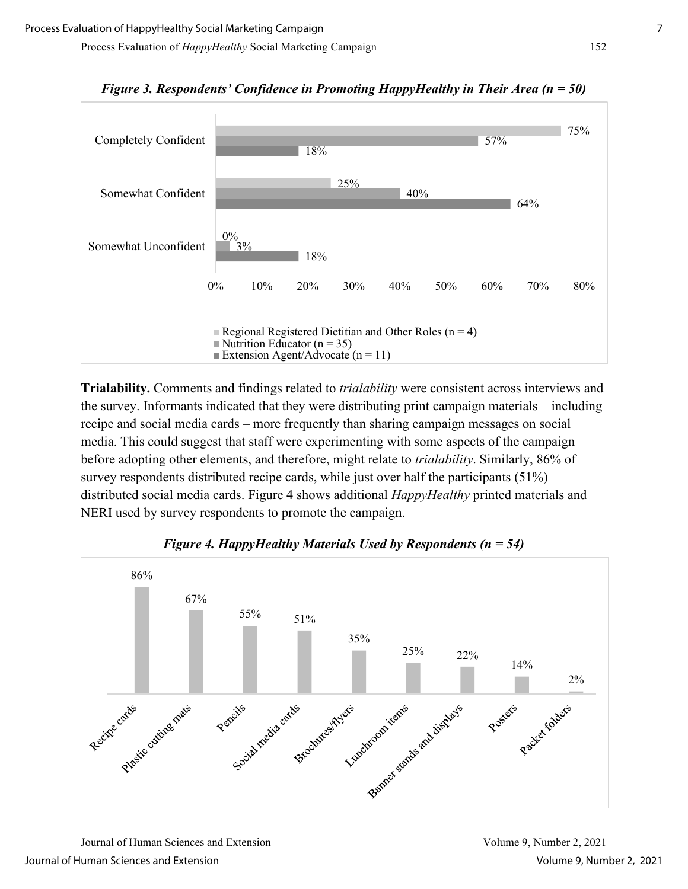Process Evaluation of *HappyHealthy* Social Marketing Campaign 152



*Figure 3. Respondents' Confidence in Promoting HappyHealthy in Their Area (n = 50)* 

**Trialability.** Comments and findings related to *trialability* were consistent across interviews and the survey. Informants indicated that they were distributing print campaign materials – including recipe and social media cards – more frequently than sharing campaign messages on social media. This could suggest that staff were experimenting with some aspects of the campaign before adopting other elements, and therefore, might relate to *trialability*. Similarly, 86% of survey respondents distributed recipe cards, while just over half the participants (51%) distributed social media cards. Figure 4 shows additional *HappyHealthy* printed materials and NERI used by survey respondents to promote the campaign.



*Figure 4. HappyHealthy Materials Used by Respondents (n = 54)* 

Journal of Human Sciences and Extension Volume 9, Number 2, 2021 Journal of Human Sciences and Extension Volume 9, Number 2, 2021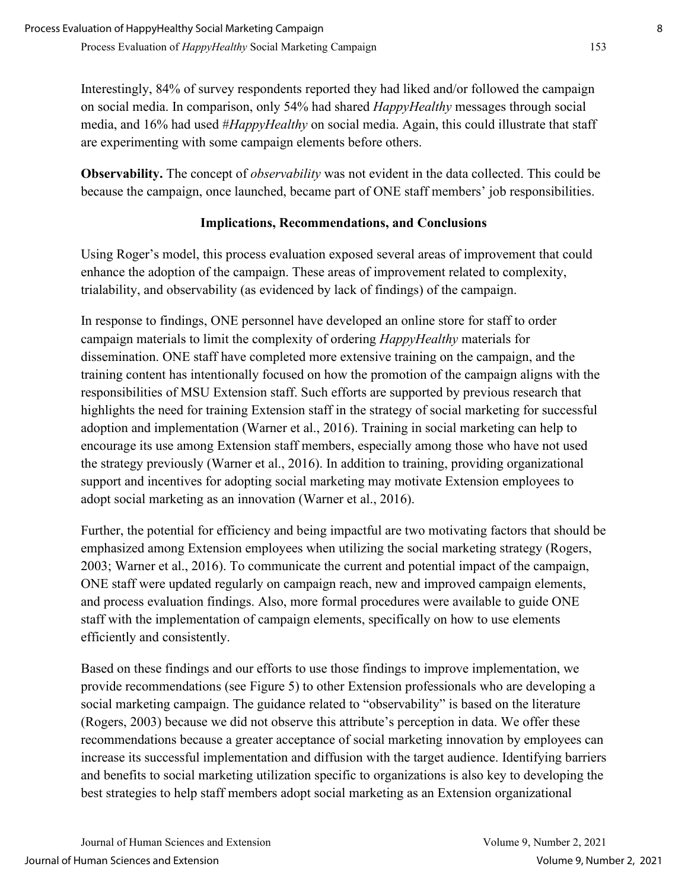Interestingly, 84% of survey respondents reported they had liked and/or followed the campaign on social media. In comparison, only 54% had shared *HappyHealthy* messages through social media, and 16% had used #*HappyHealthy* on social media. Again, this could illustrate that staff are experimenting with some campaign elements before others.

**Observability.** The concept of *observability* was not evident in the data collected. This could be because the campaign, once launched, became part of ONE staff members' job responsibilities.

## **Implications, Recommendations, and Conclusions**

Using Roger's model, this process evaluation exposed several areas of improvement that could enhance the adoption of the campaign. These areas of improvement related to complexity, trialability, and observability (as evidenced by lack of findings) of the campaign.

In response to findings, ONE personnel have developed an online store for staff to order campaign materials to limit the complexity of ordering *HappyHealthy* materials for dissemination. ONE staff have completed more extensive training on the campaign, and the training content has intentionally focused on how the promotion of the campaign aligns with the responsibilities of MSU Extension staff. Such efforts are supported by previous research that highlights the need for training Extension staff in the strategy of social marketing for successful adoption and implementation (Warner et al., 2016). Training in social marketing can help to encourage its use among Extension staff members, especially among those who have not used the strategy previously (Warner et al., 2016). In addition to training, providing organizational support and incentives for adopting social marketing may motivate Extension employees to adopt social marketing as an innovation (Warner et al., 2016).

Further, the potential for efficiency and being impactful are two motivating factors that should be emphasized among Extension employees when utilizing the social marketing strategy (Rogers, 2003; Warner et al., 2016). To communicate the current and potential impact of the campaign, ONE staff were updated regularly on campaign reach, new and improved campaign elements, and process evaluation findings. Also, more formal procedures were available to guide ONE staff with the implementation of campaign elements, specifically on how to use elements efficiently and consistently.

Based on these findings and our efforts to use those findings to improve implementation, we provide recommendations (see Figure 5) to other Extension professionals who are developing a social marketing campaign. The guidance related to "observability" is based on the literature (Rogers, 2003) because we did not observe this attribute's perception in data. We offer these recommendations because a greater acceptance of social marketing innovation by employees can increase its successful implementation and diffusion with the target audience. Identifying barriers and benefits to social marketing utilization specific to organizations is also key to developing the best strategies to help staff members adopt social marketing as an Extension organizational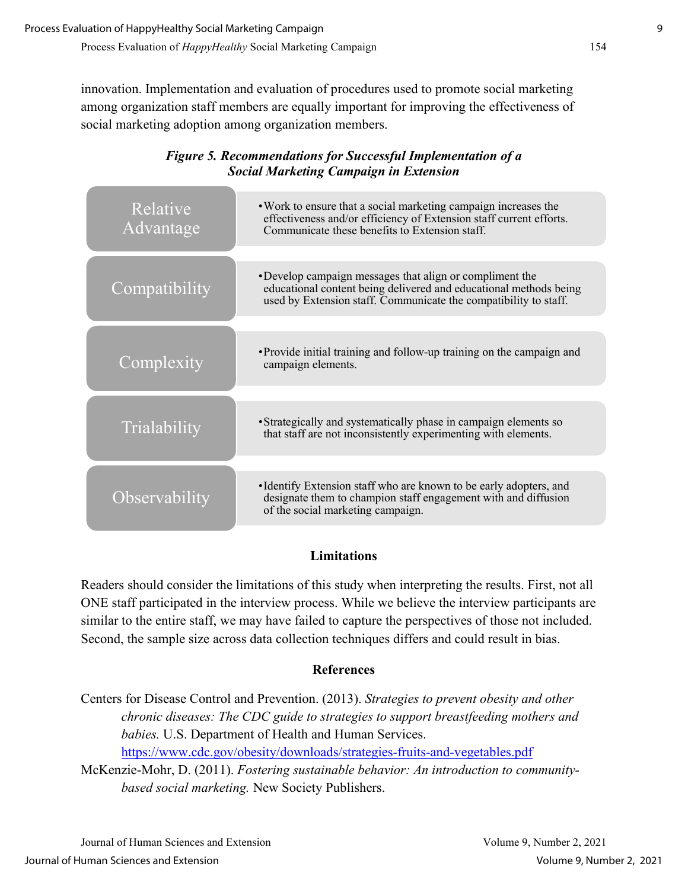innovation. Implementation and evaluation of procedures used to promote social marketing among organization staff members are equally important for improving the effectiveness of social marketing adoption among organization members.

|                                               | <b>Figure 5. Recommendations for Successful Implementation of a</b> |
|-----------------------------------------------|---------------------------------------------------------------------|
| <b>Social Marketing Campaign in Extension</b> |                                                                     |

| Relative<br>Advantage | . Work to ensure that a social marketing campaign increases the<br>effectiveness and/or efficiency of Extension staff current efforts.<br>Communicate these benefits to Extension staff.         |
|-----------------------|--------------------------------------------------------------------------------------------------------------------------------------------------------------------------------------------------|
| Compatibility         | •Develop campaign messages that align or compliment the<br>educational content being delivered and educational methods being<br>used by Extension staff. Communicate the compatibility to staff. |
| Complexity            | • Provide initial training and follow-up training on the campaign and<br>campaign elements.                                                                                                      |
| Trialability          | • Strategically and systematically phase in campaign elements so<br>that staff are not inconsistently experimenting with elements.                                                               |
| Observability         | • Identify Extension staff who are known to be early adopters, and<br>designate them to champion staff engagement with and diffusion<br>of the social marketing campaign.                        |

## **Limitations**

Readers should consider the limitations of this study when interpreting the results. First, not all ONE staff participated in the interview process. While we believe the interview participants are similar to the entire staff, we may have failed to capture the perspectives of those not included. Second, the sample size across data collection techniques differs and could result in bias.

## **References**

Centers for Disease Control and Prevention. (2013). *Strategies to prevent obesity and other chronic diseases: The CDC guide to strategies to support breastfeeding mothers and babies.* U.S. Department of Health and Human Services. <https://www.cdc.gov/obesity/downloads/strategies-fruits-and-vegetables.pdf>

McKenzie-Mohr, D. (2011). *Fostering sustainable behavior: An introduction to communitybased social marketing.* New Society Publishers.